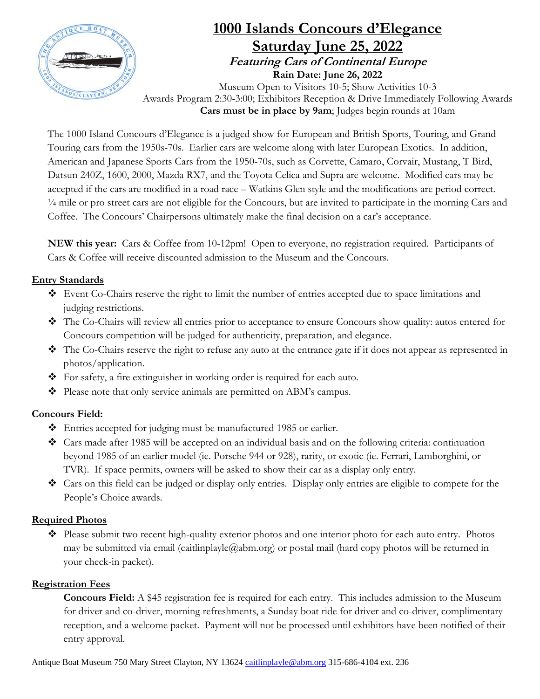

# **1000 Islands Concours d'Elegance Saturday June 25, 2022 Featuring Cars of Continental Europe Rain Date: June 26, 2022**

Museum Open to Visitors 10-5; Show Activities 10-3 Awards Program 2:30-3:00; Exhibitors Reception & Drive Immediately Following Awards **Cars must be in place by 9am**; Judges begin rounds at 10am

The 1000 Island Concours d'Elegance is a judged show for European and British Sports, Touring, and Grand Touring cars from the 1950s-70s. Earlier cars are welcome along with later European Exotics. In addition, American and Japanese Sports Cars from the 1950-70s, such as Corvette, Camaro, Corvair, Mustang, T Bird, Datsun 240Z, 1600, 2000, Mazda RX7, and the Toyota Celica and Supra are welcome. Modified cars may be accepted if the cars are modified in a road race – Watkins Glen style and the modifications are period correct. ¼ mile or pro street cars are not eligible for the Concours, but are invited to participate in the morning Cars and Coffee. The Concours' Chairpersons ultimately make the final decision on a car's acceptance.

**NEW this year:** Cars & Coffee from 10-12pm! Open to everyone, no registration required. Participants of Cars & Coffee will receive discounted admission to the Museum and the Concours.

#### **Entry Standards**

- ❖ Event Co-Chairs reserve the right to limit the number of entries accepted due to space limitations and judging restrictions.
- ❖ The Co-Chairs will review all entries prior to acceptance to ensure Concours show quality: autos entered for Concours competition will be judged for authenticity, preparation, and elegance.
- ❖ The Co-Chairs reserve the right to refuse any auto at the entrance gate if it does not appear as represented in photos/application.
- ❖ For safety, a fire extinguisher in working order is required for each auto.
- ❖ Please note that only service animals are permitted on ABM's campus.

## **Concours Field:**

- ❖ Entries accepted for judging must be manufactured 1985 or earlier.
- ❖ Cars made after 1985 will be accepted on an individual basis and on the following criteria: continuation beyond 1985 of an earlier model (ie. Porsche 944 or 928), rarity, or exotic (ie. Ferrari, Lamborghini, or TVR). If space permits, owners will be asked to show their car as a display only entry.
- ❖ Cars on this field can be judged or display only entries. Display only entries are eligible to compete for the People's Choice awards.

## **Required Photos**

❖ Please submit two recent high-quality exterior photos and one interior photo for each auto entry. Photos may be submitted via email (caitlinplayle@abm.org) or postal mail (hard copy photos will be returned in your check-in packet).

#### **Registration Fees**

**Concours Field:** A \$45 registration fee is required for each entry. This includes admission to the Museum for driver and co-driver, morning refreshments, a Sunday boat ride for driver and co-driver, complimentary reception, and a welcome packet. Payment will not be processed until exhibitors have been notified of their entry approval.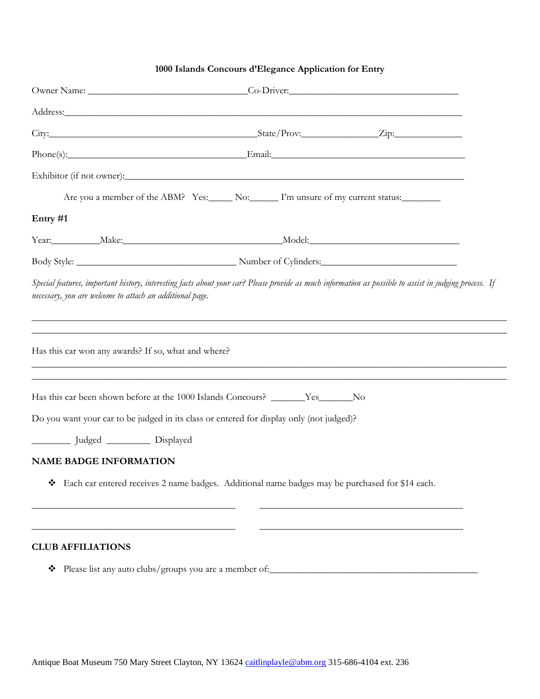#### **1000 Islands Concours d'Elegance Application for Entry**

| Owner Name: Co-Driver: Co-Driver:                                                                                                                                                                                              |  |
|--------------------------------------------------------------------------------------------------------------------------------------------------------------------------------------------------------------------------------|--|
|                                                                                                                                                                                                                                |  |
|                                                                                                                                                                                                                                |  |
| Phone(s): Frail: Email: Email: Email: Email: Email: Email: Email: Email: Email: Email: Email: Email: Email: Email: Email: Email: Email: Email: Email: Email: Email: Email: Email: Email: Email: Email: Email: Email: Email: Em |  |
|                                                                                                                                                                                                                                |  |
| Are you a member of the ABM? Yes: No: I'm unsure of my current status:                                                                                                                                                         |  |
| Entry #1                                                                                                                                                                                                                       |  |
|                                                                                                                                                                                                                                |  |
|                                                                                                                                                                                                                                |  |
| necessary, you are welcome to attach an additional page.<br>Has this car won any awards? If so, what and where?                                                                                                                |  |
| Has this car been shown before at the 1000 Islands Concours? ________Yes_______No<br>Do you want your car to be judged in its class or entered for display only (not judged)?<br>Ludged _________ Displayed                    |  |
|                                                                                                                                                                                                                                |  |
| <b>NAME BADGE INFORMATION</b>                                                                                                                                                                                                  |  |
| Each car entered receives 2 name badges. Additional name badges may be purchased for \$14 each.                                                                                                                                |  |
| <b>CLUB AFFILIATIONS</b>                                                                                                                                                                                                       |  |

# ❖ Please list any auto clubs/groups you are a member of:\_\_\_\_\_\_\_\_\_\_\_\_\_\_\_\_\_\_\_\_\_\_\_\_\_\_\_\_\_\_\_\_\_\_\_\_\_\_\_\_\_\_\_